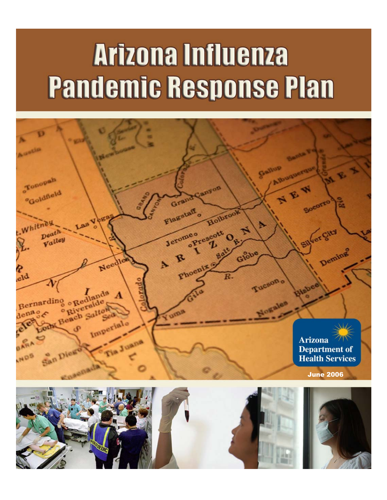# **Arizona Influenza Pandemic Response Plan**

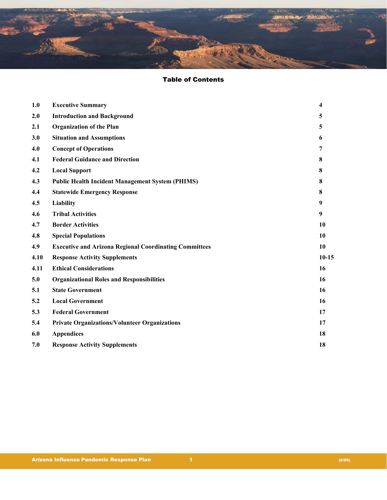

# Table of Contents

| 1.0  | <b>Executive Summary</b>                                      | 4       |
|------|---------------------------------------------------------------|---------|
| 2.0  | <b>Introduction and Background</b>                            | 5       |
| 2.1  | <b>Organization of the Plan</b>                               | 5       |
| 3.0  | <b>Situation and Assumptions</b>                              | 6       |
| 4.0  | <b>Concept of Operations</b>                                  | 7       |
| 4.1  | <b>Federal Guidance and Direction</b>                         | 8       |
| 4.2  | <b>Local Support</b>                                          | 8       |
| 4.3  | <b>Public Health Incident Management System (PHIMS)</b>       | 8       |
| 4.4  | <b>Statewide Emergency Response</b>                           | 8       |
| 4.5  | Liability                                                     | 9       |
| 4.6  | <b>Tribal Activities</b>                                      | 9       |
| 4.7  | <b>Border Activities</b>                                      | 10      |
| 4.8  | <b>Special Populations</b>                                    | 10      |
| 4.9  | <b>Executive and Arizona Regional Coordinating Committees</b> | 10      |
| 4.10 | <b>Response Activity Supplements</b>                          | $10-15$ |
| 4.11 | <b>Ethical Considerations</b>                                 | 16      |
| 5.0  | <b>Organizational Roles and Responsibilities</b>              | 16      |
| 5.1  | <b>State Government</b>                                       | 16      |
| 5.2  | <b>Local Government</b>                                       | 16      |
| 5.3  | <b>Federal Government</b>                                     | 17      |
| 5.4  | <b>Private Organizations/Volunteer Organizations</b>          | 17      |
| 6.0  | <b>Appendices</b>                                             | 18      |
| 7.0  | <b>Response Activity Supplements</b>                          | 18      |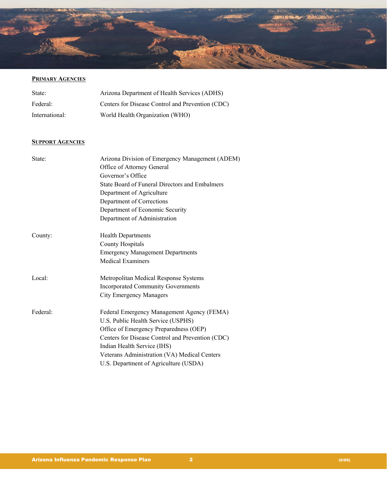

# **PRIMARY AGENCIES**

| State:         | Arizona Department of Health Services (ADHS)     |
|----------------|--------------------------------------------------|
| Federal:       | Centers for Disease Control and Prevention (CDC) |
| International: | World Health Organization (WHO)                  |

#### **SUPPORT AGENCIES**

| State:   | Arizona Division of Emergency Management (ADEM)  |
|----------|--------------------------------------------------|
|          | Office of Attorney General                       |
|          | Governor's Office                                |
|          | State Board of Funeral Directors and Embalmers   |
|          | Department of Agriculture                        |
|          | Department of Corrections                        |
|          | Department of Economic Security                  |
|          | Department of Administration                     |
| County:  | <b>Health Departments</b>                        |
|          | <b>County Hospitals</b>                          |
|          | <b>Emergency Management Departments</b>          |
|          | <b>Medical Examiners</b>                         |
| Local:   | Metropolitan Medical Response Systems            |
|          | <b>Incorporated Community Governments</b>        |
|          | <b>City Emergency Managers</b>                   |
| Federal: | Federal Emergency Management Agency (FEMA)       |
|          | U.S. Public Health Service (USPHS)               |
|          | Office of Emergency Preparedness (OEP)           |
|          | Centers for Disease Control and Prevention (CDC) |
|          | Indian Health Service (IHS)                      |
|          | Veterans Administration (VA) Medical Centers     |
|          | U.S. Department of Agriculture (USDA)            |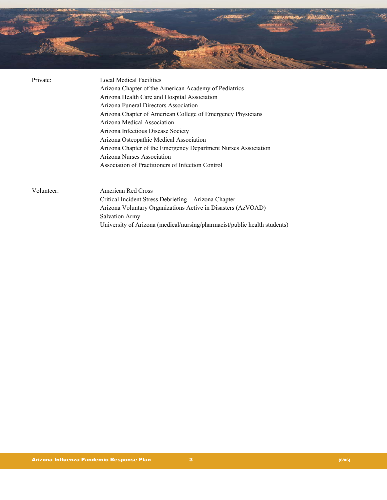

| Private:   | <b>Local Medical Facilities</b><br>Arizona Chapter of the American Academy of Pediatrics<br>Arizona Health Care and Hospital Association<br>Arizona Funeral Directors Association<br>Arizona Chapter of American College of Emergency Physicians<br>Arizona Medical Association<br>Arizona Infectious Disease Society<br>Arizona Osteopathic Medical Association<br>Arizona Chapter of the Emergency Department Nurses Association<br>Arizona Nurses Association<br>Association of Practitioners of Infection Control |
|------------|-----------------------------------------------------------------------------------------------------------------------------------------------------------------------------------------------------------------------------------------------------------------------------------------------------------------------------------------------------------------------------------------------------------------------------------------------------------------------------------------------------------------------|
| Volunteer: | American Red Cross<br>Critical Incident Stress Debriefing - Arizona Chapter<br>Arizona Voluntary Organizations Active in Disasters (AzVOAD)<br><b>Salvation Army</b><br>University of Arizona (medical/nursing/pharmacist/public health students)                                                                                                                                                                                                                                                                     |

Arizona Influenza Pandemic Response Plan 3 (6/06)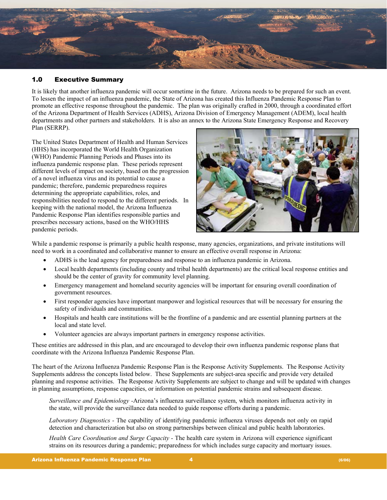

# 1.0 Executive Summary

It is likely that another influenza pandemic will occur sometime in the future. Arizona needs to be prepared for such an event. To lessen the impact of an influenza pandemic, the State of Arizona has created this Influenza Pandemic Response Plan to promote an effective response throughout the pandemic. The plan was originally crafted in 2000, through a coordinated effort of the Arizona Department of Health Services (ADHS), Arizona Division of Emergency Management (ADEM), local health departments and other partners and stakeholders. It is also an annex to the Arizona State Emergency Response and Recovery Plan (SERRP).

The United States Department of Health and Human Services (HHS) has incorporated the World Health Organization (WHO) Pandemic Planning Periods and Phases into its influenza pandemic response plan. These periods represent different levels of impact on society, based on the progression of a novel influenza virus and its potential to cause a pandemic; therefore, pandemic preparedness requires determining the appropriate capabilities, roles, and responsibilities needed to respond to the different periods. In keeping with the national model, the Arizona Influenza Pandemic Response Plan identifies responsible parties and prescribes necessary actions, based on the WHO/HHS pandemic periods.



While a pandemic response is primarily a public health response, many agencies, organizations, and private institutions will need to work in a coordinated and collaborative manner to ensure an effective overall response in Arizona:

- ADHS is the lead agency for preparedness and response to an influenza pandemic in Arizona.
- Local health departments (including county and tribal health departments) are the critical local response entities and should be the center of gravity for community level planning.
- Emergency management and homeland security agencies will be important for ensuring overall coordination of government resources.
- First responder agencies have important manpower and logistical resources that will be necessary for ensuring the safety of individuals and communities.
- Hospitals and health care institutions will be the frontline of a pandemic and are essential planning partners at the local and state level.
- Volunteer agencies are always important partners in emergency response activities.

These entities are addressed in this plan, and are encouraged to develop their own influenza pandemic response plans that coordinate with the Arizona Influenza Pandemic Response Plan.

The heart of the Arizona Influenza Pandemic Response Plan is the Response Activity Supplements. The Response Activity Supplements address the concepts listed below. These Supplements are subject-area specific and provide very detailed planning and response activities. The Response Activity Supplements are subject to change and will be updated with changes in planning assumptions, response capacities, or information on potential pandemic strains and subsequent disease.

*Surveillance and Epidemiology -*Arizona's influenza surveillance system, which monitors influenza activity in the state, will provide the surveillance data needed to guide response efforts during a pandemic.

*Laboratory Diagnostics -* The capability of identifying pandemic influenza viruses depends not only on rapid detection and characterization but also on strong partnerships between clinical and public health laboratories.

*Health Care Coordination and Surge Capacity -* The health care system in Arizona will experience significant strains on its resources during a pandemic; preparedness for which includes surge capacity and mortuary issues.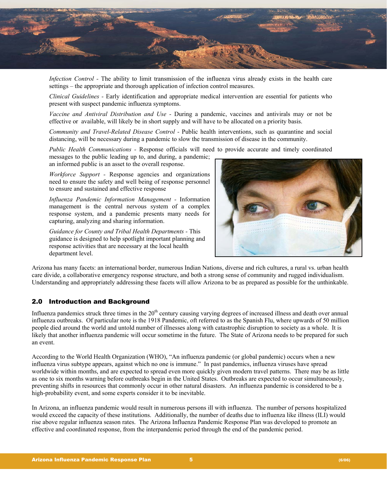

*Infection Control -* The ability to limit transmission of the influenza virus already exists in the health care settings – the appropriate and thorough application of infection control measures.

*Clinical Guidelines -* Early identification and appropriate medical intervention are essential for patients who present with suspect pandemic influenza symptoms.

*Vaccine and Antiviral Distribution and Use -* During a pandemic, vaccines and antivirals may or not be effective or available, will likely be in short supply and will have to be allocated on a priority basis.

*Community and Travel-Related Disease Control -* Public health interventions, such as quarantine and social distancing, will be necessary during a pandemic to slow the transmission of disease in the community.

*Public Health Communications -* Response officials will need to provide accurate and timely coordinated

messages to the public leading up to, and during, a pandemic; an informed public is an asset to the overall response.

*Workforce Support -* Response agencies and organizations need to ensure the safety and well being of response personnel to ensure and sustained and effective response

*Influenza Pandemic Information Management -* Information management is the central nervous system of a complex response system, and a pandemic presents many needs for capturing, analyzing and sharing information.

*Guidance for County and Tribal Health Departments -* This guidance is designed to help spotlight important planning and response activities that are necessary at the local health department level.



Arizona has many facets: an international border, numerous Indian Nations, diverse and rich cultures, a rural vs. urban health care divide, a collaborative emergency response structure, and both a strong sense of community and rugged individualism. Understanding and appropriately addressing these facets will allow Arizona to be as prepared as possible for the unthinkable.

#### 2.0 Introduction and Background

Influenza pandemics struck three times in the  $20<sup>th</sup>$  century causing varying degrees of increased illness and death over annual influenza outbreaks. Of particular note is the 1918 Pandemic, oft referred to as the Spanish Flu, where upwards of 50 million people died around the world and untold number of illnesses along with catastrophic disruption to society as a whole. It is likely that another influenza pandemic will occur sometime in the future. The State of Arizona needs to be prepared for such an event.

According to the World Health Organization (WHO), "An influenza pandemic (or global pandemic) occurs when a new influenza virus subtype appears, against which no one is immune." In past pandemics, influenza viruses have spread worldwide within months, and are expected to spread even more quickly given modern travel patterns. There may be as little as one to six months warning before outbreaks begin in the United States. Outbreaks are expected to occur simultaneously, preventing shifts in resources that commonly occur in other natural disasters. An influenza pandemic is considered to be a high-probability event, and some experts consider it to be inevitable.

In Arizona, an influenza pandemic would result in numerous persons ill with influenza. The number of persons hospitalized would exceed the capacity of these institutions. Additionally, the number of deaths due to influenza like illness (ILI) would rise above regular influenza season rates. The Arizona Influenza Pandemic Response Plan was developed to promote an effective and coordinated response, from the interpandemic period through the end of the pandemic period.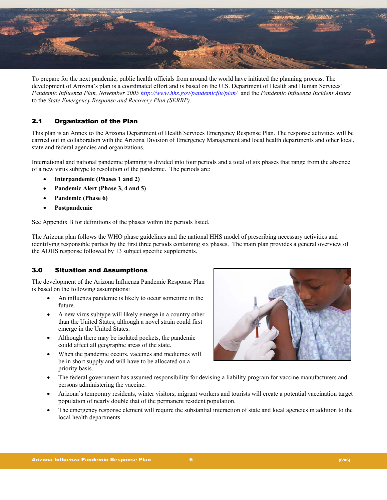

To prepare for the next pandemic, public health officials from around the world have initiated the planning process. The development of Arizona's plan is a coordinated effort and is based on the U.S. Department of Health and Human Services' *Pandemic Influenza Plan, November 2005 <http://www.hhs.gov/pandemicflu/plan/>*and the *Pandemic Influenza Incident Annex*  to the *State Emergency Response and Recovery Plan (SERRP)*.

# 2.1 Organization of the Plan

This plan is an Annex to the Arizona Department of Health Services Emergency Response Plan. The response activities will be carried out in collaboration with the Arizona Division of Emergency Management and local health departments and other local, state and federal agencies and organizations.

International and national pandemic planning is divided into four periods and a total of six phases that range from the absence of a new virus subtype to resolution of the pandemic. The periods are:

- **Interpandemic (Phases 1 and 2)**
- **Pandemic Alert (Phase 3, 4 and 5)**
- **Pandemic (Phase 6)**
- **Postpandemic**

See Appendix B for definitions of the phases within the periods listed.

The Arizona plan follows the WHO phase guidelines and the national HHS model of prescribing necessary activities and identifying responsible parties by the first three periods containing six phases. The main plan provides a general overview of the ADHS response followed by 13 subject specific supplements.

# 3.0 Situation and Assumptions

The development of the Arizona Influenza Pandemic Response Plan is based on the following assumptions:

- An influenza pandemic is likely to occur sometime in the future.
- A new virus subtype will likely emerge in a country other than the United States, although a novel strain could first emerge in the United States.
- Although there may be isolated pockets, the pandemic could affect all geographic areas of the state.
- When the pandemic occurs, vaccines and medicines will be in short supply and will have to be allocated on a priority basis.



- The federal government has assumed responsibility for devising a liability program for vaccine manufacturers and persons administering the vaccine.
- Arizona's temporary residents, winter visitors, migrant workers and tourists will create a potential vaccination target population of nearly double that of the permanent resident population.
- The emergency response element will require the substantial interaction of state and local agencies in addition to the local health departments.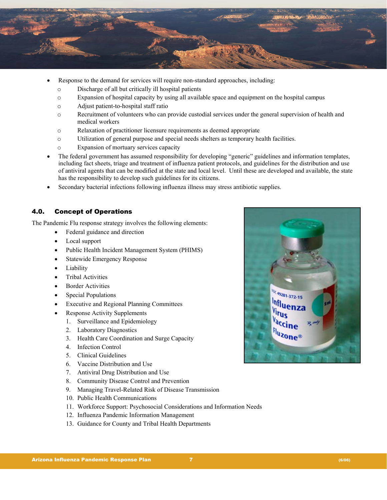

- Response to the demand for services will require non-standard approaches, including:
	- o Discharge of all but critically ill hospital patients
	- o Expansion of hospital capacity by using all available space and equipment on the hospital campus
	- o Adjust patient-to-hospital staff ratio
	- o Recruitment of volunteers who can provide custodial services under the general supervision of health and medical workers
	- o Relaxation of practitioner licensure requirements as deemed appropriate
	- o Utilization of general purpose and special needs shelters as temporary health facilities.
	- o Expansion of mortuary services capacity
- The federal government has assumed responsibility for developing "generic" guidelines and information templates, including fact sheets, triage and treatment of influenza patient protocols, and guidelines for the distribution and use of antiviral agents that can be modified at the state and local level. Until these are developed and available, the state has the responsibility to develop such guidelines for its citizens.
- Secondary bacterial infections following influenza illness may stress antibiotic supplies.

## 4.0. Concept of Operations

The Pandemic Flu response strategy involves the following elements:

- Federal guidance and direction
- Local support
- Public Health Incident Management System (PHIMS)
- Statewide Emergency Response
- **Liability**
- Tribal Activities
- **Border Activities**
- Special Populations
- Executive and Regional Planning Committees
- Response Activity Supplements
	- 1. Surveillance and Epidemiology
	- 2. Laboratory Diagnostics
	- 3. Health Care Coordination and Surge Capacity
	- 4. Infection Control
	- 5. Clinical Guidelines
	- 6. Vaccine Distribution and Use
	- 7. Antiviral Drug Distribution and Use
	- 8. Community Disease Control and Prevention
	- 9. Managing Travel-Related Risk of Disease Transmission
	- 10. Public Health Communications
	- 11. Workforce Support: Psychosocial Considerations and Information Needs
	- 12. Influenza Pandemic Information Management
	- 13. Guidance for County and Tribal Health Departments

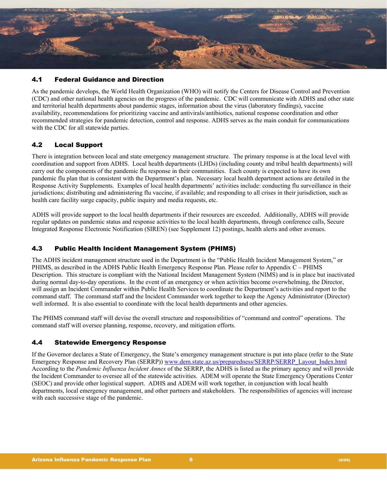

# 4.1 Federal Guidance and Direction

As the pandemic develops, the World Health Organization (WHO) will notify the Centers for Disease Control and Prevention (CDC) and other national health agencies on the progress of the pandemic. CDC will communicate with ADHS and other state and territorial health departments about pandemic stages, information about the virus (laboratory findings), vaccine availability, recommendations for prioritizing vaccine and antivirals/antibiotics, national response coordination and other recommended strategies for pandemic detection, control and response. ADHS serves as the main conduit for communications with the CDC for all statewide parties.

# 4.2 Local Support

There is integration between local and state emergency management structure. The primary response is at the local level with coordination and support from ADHS. Local health departments (LHDs) (including county and tribal health departments) will carry out the components of the pandemic flu response in their communities. Each county is expected to have its own pandemic flu plan that is consistent with the Department's plan. Necessary local health department actions are detailed in the Response Activity Supplements. Examples of local health departments' activities include: conducting flu surveillance in their jurisdictions; distributing and administering flu vaccine, if available; and responding to all crises in their jurisdiction, such as health care facility surge capacity, public inquiry and media requests, etc.

ADHS will provide support to the local health departments if their resources are exceeded. Additionally, ADHS will provide regular updates on pandemic status and response activities to the local health departments, through conference calls, Secure Integrated Response Electronic Notification (SIREN) (see Supplement 12) postings, health alerts and other avenues.

# 4.3 Public Health Incident Management System (PHIMS)

The ADHS incident management structure used in the Department is the "Public Health Incident Management System," or PHIMS, as described in the ADHS Public Health Emergency Response Plan. Please refer to Appendix C – PHIMS Description. This structure is compliant with the National Incident Management System (NIMS) and is in place but inactivated during normal day-to-day operations. In the event of an emergency or when activities become overwhelming, the Director, will assign an Incident Commander within Public Health Services to coordinate the Department's activities and report to the command staff. The command staff and the Incident Commander work together to keep the Agency Administrator (Director) well informed. It is also essential to coordinate with the local health departments and other agencies.

The PHIMS command staff will devise the overall structure and responsibilities of "command and control" operations. The command staff will oversee planning, response, recovery, and mitigation efforts.

# 4.4 Statewide Emergency Response

If the Governor declares a State of Emergency, the State's emergency management structure is put into place (refer to the State Emergency Response and Recovery Plan (SERRP)) www.dem.state.az.us/preparedness/SERRP/SERRP\_Layout\_Index.html According to the *Pandemic Influenza Incident Annex* of the SERRP, the ADHS is listed as the primary agency and will provide the Incident Commander to oversee all of the statewide activities. ADEM will operate the State Emergency Operations Center (SEOC) and provide other logistical support. ADHS and ADEM will work together, in conjunction with local health departments, local emergency management, and other partners and stakeholders. The responsibilities of agencies will increase with each successive stage of the pandemic.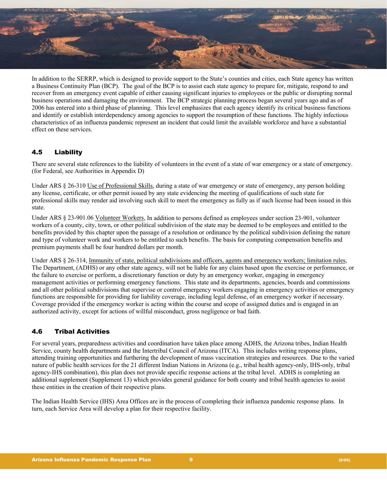

In addition to the SERRP, which is designed to provide support to the State's counties and cities, each State agency has written a Business Continuity Plan (BCP). The goal of the BCP is to assist each state agency to prepare for, mitigate, respond to and recover from an emergency event capable of either causing significant injuries to employees or the public or disrupting normal business operations and damaging the environment. The BCP strategic planning process began several years ago and as of 2006 has entered into a third phase of planning. This level emphasizes that each agency identify its critical business functions and identify or establish interdependency among agencies to support the resumption of these functions. The highly infectious characteristics of an influenza pandemic represent an incident that could limit the available workforce and have a substantial effect on these services.

# 4.5 Liability

There are several state references to the liability of volunteers in the event of a state of war emergency or a state of emergency. (for Federal, see Authorities in Appendix D)

Under ARS § 26-310 Use of Professional Skills, during a state of war emergency or state of emergency, any person holding any license, certificate, or other permit issued by any state evidencing the meeting of qualifications of such state for professional skills may render aid involving such skill to meet the emergency as fully as if such license had been issued in this state.

Under ARS § 23-901.06 Volunteer Workers, In addition to persons defined as employees under section 23-901, volunteer workers of a county, city, town, or other political subdivision of the state may be deemed to be employees and entitled to the benefits provided by this chapter upon the passage of a resolution or ordinance by the political subdivision defining the nature and type of volunteer work and workers to be entitled to such benefits. The basis for computing compensation benefits and premium payments shall be four hundred dollars per month.

Under ARS § 26-314, Immunity of state, political subdivisions and officers, agents and emergency workers; limitation rules, The Department, (ADHS) or any other state agency, will not be liable for any claim based upon the exercise or performance, or the failure to exercise or perform, a discretionary function or duty by an emergency worker, engaging in emergency management activities or performing emergency functions. This state and its departments, agencies, boards and commissions and all other political subdivisions that supervise or control emergency workers engaging in emergency activities or emergency functions are responsible for providing for liability coverage, including legal defense, of an emergency worker if necessary. Coverage provided if the emergency worker is acting within the course and scope of assigned duties and is engaged in an authorized activity, except for actions of willful misconduct, gross negligence or bad faith.

# 4.6 Tribal Activities

For several years, preparedness activities and coordination have taken place among ADHS, the Arizona tribes, Indian Health Service, county health departments and the Intertribal Council of Arizona (ITCA). This includes writing response plans, attending training opportunities and furthering the development of mass vaccination strategies and resources. Due to the varied nature of public health services for the 21 different Indian Nations in Arizona (e.g., tribal health agency-only, IHS-only, tribal agency-IHS combination), this plan does not provide specific response actions at the tribal level. ADHS is completing an additional supplement (Supplement 13) which provides general guidance for both county and tribal health agencies to assist these entities in the creation of their respective plans.

The Indian Health Service (IHS) Area Offices are in the process of completing their influenza pandemic response plans. In turn, each Service Area will develop a plan for their respective facility.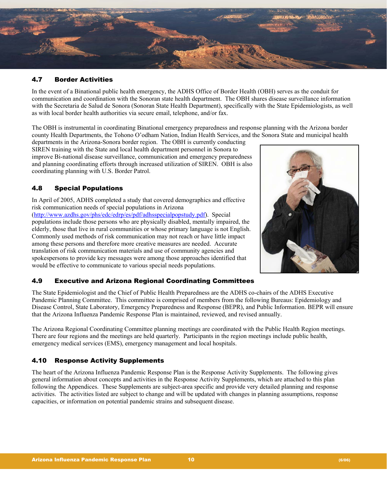

# 4.7 Border Activities

In the event of a Binational public health emergency, the ADHS Office of Border Health (OBH) serves as the conduit for communication and coordination with the Sonoran state health department. The OBH shares disease surveillance information with the Secretaria de Salud de Sonora (Sonoran State Health Department), specifically with the State Epidemiologists, as well as with local border health authorities via secure email, telephone, and/or fax.

The OBH is instrumental in coordinating Binational emergency preparedness and response planning with the Arizona border county Health Departments, the Tohono O'odham Nation, Indian Health Services, and the Sonora State and municipal health

departments in the Arizona-Sonora border region. The OBH is currently conducting SIREN training with the State and local health department personnel in Sonora to improve Bi-national disease surveillance, communication and emergency preparedness and planning coordinating efforts through increased utilization of SIREN. OBH is also coordinating planning with U.S. Border Patrol.

# 4.8 Special Populations

In April of 2005, ADHS completed a study that covered demographics and effective risk communication needs of special populations in Arizona

(<http://www.azdhs.gov/phs/edc/edrp/es/pdf/adhsspecialpopstudy.pdf>). Special populations include those persons who are physically disabled, mentally impaired, the elderly, those that live in rural communities or whose primary language is not English. Commonly used methods of risk communication may not reach or have little impact among these persons and therefore more creative measures are needed. Accurate translation of risk communication materials and use of community agencies and spokespersons to provide key messages were among those approaches identified that would be effective to communicate to various special needs populations.



# 4.9 Executive and Arizona Regional Coordinating Committees

The State Epidemiologist and the Chief of Public Health Preparedness are the ADHS co-chairs of the ADHS Executive Pandemic Planning Committee. This committee is comprised of members from the following Bureaus: Epidemiology and Disease Control, State Laboratory, Emergency Preparedness and Response (BEPR), and Public Information. BEPR will ensure that the Arizona Influenza Pandemic Response Plan is maintained, reviewed, and revised annually.

The Arizona Regional Coordinating Committee planning meetings are coordinated with the Public Health Region meetings. There are four regions and the meetings are held quarterly. Participants in the region meetings include public health, emergency medical services (EMS), emergency management and local hospitals.

#### 4.10 Response Activity Supplements

The heart of the Arizona Influenza Pandemic Response Plan is the Response Activity Supplements. The following gives general information about concepts and activities in the Response Activity Supplements, which are attached to this plan following the Appendices. These Supplements are subject-area specific and provide very detailed planning and response activities. The activities listed are subject to change and will be updated with changes in planning assumptions, response capacities, or information on potential pandemic strains and subsequent disease.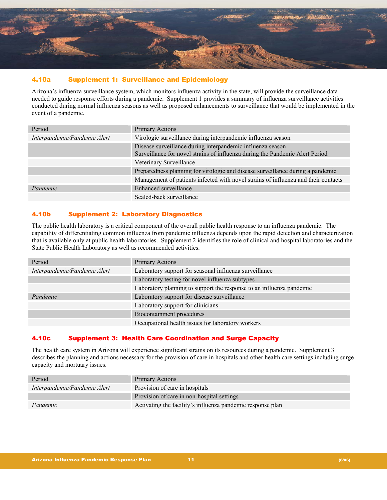

# 4.10a Supplement 1: Surveillance and Epidemiology

Arizona's influenza surveillance system, which monitors influenza activity in the state, will provide the surveillance data needed to guide response efforts during a pandemic. Supplement 1 provides a summary of influenza surveillance activities conducted during normal influenza seasons as well as proposed enhancements to surveillance that would be implemented in the event of a pandemic.

| Period                       | <b>Primary Actions</b>                                                                                                                     |
|------------------------------|--------------------------------------------------------------------------------------------------------------------------------------------|
| Interpandemic/Pandemic Alert | Virologic surveillance during interpandemic influenza season                                                                               |
|                              | Disease surveillance during interpandemic influenza season<br>Surveillance for novel strains of influenza during the Pandemic Alert Period |
|                              | Veterinary Surveillance                                                                                                                    |
|                              | Preparedness planning for virologic and disease surveillance during a pandemic                                                             |
|                              | Management of patients infected with novel strains of influenza and their contacts                                                         |
| Pandemic                     | Enhanced surveillance                                                                                                                      |
|                              | Scaled-back surveillance                                                                                                                   |

# 4.10b Supplement 2: Laboratory Diagnostics

The public health laboratory is a critical component of the overall public health response to an influenza pandemic. The capability of differentiating common influenza from pandemic influenza depends upon the rapid detection and characterization that is available only at public health laboratories. Supplement 2 identifies the role of clinical and hospital laboratories and the State Public Health Laboratory as well as recommended activities.

| Period                       | Primary Actions                                                      |
|------------------------------|----------------------------------------------------------------------|
| Interpandemic/Pandemic Alert | Laboratory support for seasonal influenza surveillance               |
|                              | Laboratory testing for novel influenza subtypes                      |
|                              | Laboratory planning to support the response to an influenza pandemic |
| Pandemic                     | Laboratory support for disease surveillance                          |
|                              | Laboratory support for clinicians                                    |
|                              | Biocontainment procedures                                            |
|                              | Occupational health issues for laboratory workers                    |

# 4.10c Supplement 3: Health Care Coordination and Surge Capacity

The health care system in Arizona will experience significant strains on its resources during a pandemic. Supplement 3 describes the planning and actions necessary for the provision of care in hospitals and other health care settings including surge capacity and mortuary issues.

| Period                       | Primary Actions                                            |
|------------------------------|------------------------------------------------------------|
| Interpandemic/Pandemic Alert | Provision of care in hospitals                             |
|                              | Provision of care in non-hospital settings                 |
| Pandemic                     | Activating the facility's influenza pandemic response plan |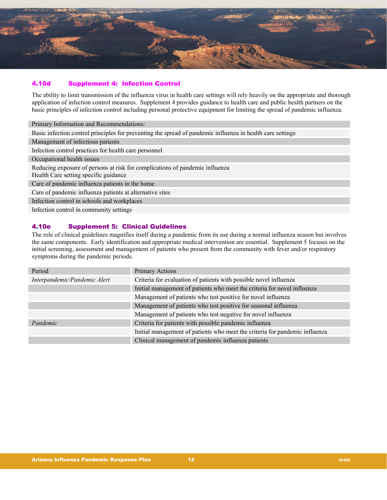

# 4.10d Supplement 4: Infection Control

The ability to limit transmission of the influenza virus in health care settings will rely heavily on the appropriate and thorough application of infection control measures. Supplement 4 provides guidance to health care and public health partners on the basic principles of infection control including personal protective equipment for limiting the spread of pandemic influenza.

Primary Information and Recommendations: Basic infection control principles for preventing the spread of pandemic influenza in health care settings Management of infectious patients Infection control practices for health care personnel Occupational health issues Reducing exposure of persons at risk for complications of pandemic influenza Health Care setting specific guidance Care of pandemic influenza patients in the home Care of pandemic influenza patients at alternative sites Infection control in schools and workplaces Infection control in community settings

# 4.10e Supplement 5: Clinical Guidelines

The role of clinical guidelines magnifies itself during a pandemic from its use during a normal influenza season but involves the same components. Early identification and appropriate medical intervention are essential. Supplement 5 focuses on the initial screening, assessment and management of patients who present from the community with fever and/or respiratory symptoms during the pandemic periods.

| Period                       | <b>Primary Actions</b>                                                      |
|------------------------------|-----------------------------------------------------------------------------|
| Interpandemic/Pandemic Alert | Criteria for evaluation of patients with possible novel influenza           |
|                              | Initial management of patients who meet the criteria for novel influenza    |
|                              | Management of patients who test positive for novel influenza                |
|                              | Management of patients who test positive for seasonal influenza             |
|                              | Management of patients who test negative for novel influenza                |
| Pandemic                     | Criteria for patients with possible pandemic influenza                      |
|                              | Initial management of patients who meet the criteria for pandemic influenza |
|                              | Clinical management of pandemic influenza patients                          |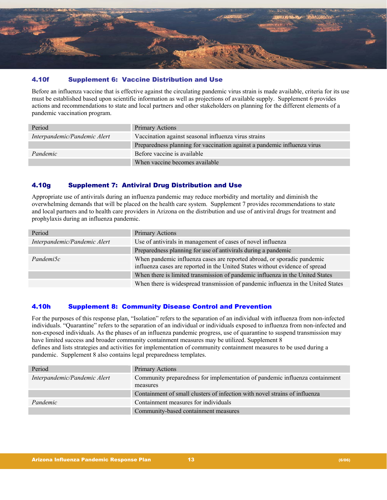

# 4.10f Supplement 6: Vaccine Distribution and Use

Before an influenza vaccine that is effective against the circulating pandemic virus strain is made available, criteria for its use must be established based upon scientific information as well as projections of available supply. Supplement 6 provides actions and recommendations to state and local partners and other stakeholders on planning for the different elements of a pandemic vaccination program.

| Period                       | Primary Actions                                                          |
|------------------------------|--------------------------------------------------------------------------|
| Interpandemic/Pandemic Alert | Vaccination against seasonal influenza virus strains                     |
|                              | Preparedness planning for vaccination against a pandemic influenza virus |
| Pandemic                     | Before vaccine is available                                              |
|                              | When vaccine becomes available                                           |

# 4.10g Supplement 7: Antiviral Drug Distribution and Use

Appropriate use of antivirals during an influenza pandemic may reduce morbidity and mortality and diminish the overwhelming demands that will be placed on the health care system. Supplement 7 provides recommendations to state and local partners and to health care providers in Arizona on the distribution and use of antiviral drugs for treatment and prophylaxis during an influenza pandemic.

| Period                       | Primary Actions                                                                                                                                         |
|------------------------------|---------------------------------------------------------------------------------------------------------------------------------------------------------|
| Interpandemic/Pandemic Alert | Use of antivirals in management of cases of novel influenza                                                                                             |
|                              | Preparedness planning for use of antivirals during a pandemic                                                                                           |
| Pandemi5c                    | When pandemic influenza cases are reported abroad, or sporadic pandemic<br>influenza cases are reported in the United States without evidence of spread |
|                              | When there is limited transmission of pandemic influenza in the United States                                                                           |
|                              | When there is widespread transmission of pandemic influenza in the United States                                                                        |

# 4.10h Supplement 8: Community Disease Control and Prevention

For the purposes of this response plan, "Isolation" refers to the separation of an individual with influenza from non-infected individuals. "Quarantine" refers to the separation of an individual or individuals exposed to influenza from non-infected and non-exposed individuals. As the phases of an influenza pandemic progress, use of quarantine to suspend transmission may have limited success and broader community containment measures may be utilized. Supplement 8 defines and lists strategies and activities for implementation of community containment measures to be used during a pandemic. Supplement 8 also contains legal preparedness templates.

| Period                       | <b>Primary Actions</b>                                                                  |
|------------------------------|-----------------------------------------------------------------------------------------|
| Interpandemic/Pandemic Alert | Community preparedness for implementation of pandemic influenza containment<br>measures |
|                              | Containment of small clusters of infection with novel strains of influenza              |
| Pandemic                     | Containment measures for individuals                                                    |
|                              | Community-based containment measures                                                    |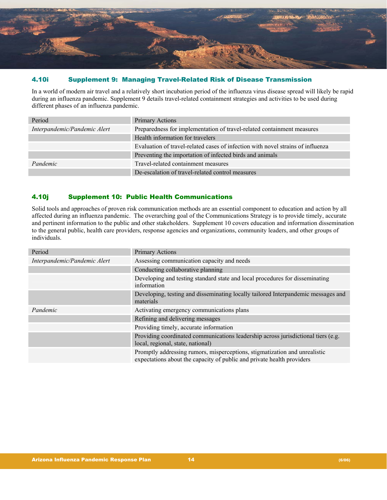

# 4.10i Supplement 9: Managing Travel-Related Risk of Disease Transmission

In a world of modern air travel and a relatively short incubation period of the influenza virus disease spread will likely be rapid during an influenza pandemic. Supplement 9 details travel-related containment strategies and activities to be used during different phases of an influenza pandemic.

| Period                       | <b>Primary Actions</b>                                                          |
|------------------------------|---------------------------------------------------------------------------------|
| Interpandemic/Pandemic Alert | Preparedness for implementation of travel-related containment measures          |
|                              | Health information for travelers                                                |
|                              | Evaluation of travel-related cases of infection with novel strains of influenza |
|                              | Preventing the importation of infected birds and animals                        |
| Pandemic                     | Travel-related containment measures                                             |
|                              | De-escalation of travel-related control measures                                |

# 4.10j Supplement 10: Public Health Communications

Solid tools and approaches of proven risk communication methods are an essential component to education and action by all affected during an influenza pandemic. The overarching goal of the Communications Strategy is to provide timely, accurate and pertinent information to the public and other stakeholders. Supplement 10 covers education and information dissemination to the general public, health care providers, response agencies and organizations, community leaders, and other groups of individuals.

| Period                       | <b>Primary Actions</b>                                                                                                                               |  |
|------------------------------|------------------------------------------------------------------------------------------------------------------------------------------------------|--|
| Interpandemic/Pandemic Alert | Assessing communication capacity and needs                                                                                                           |  |
|                              | Conducting collaborative planning                                                                                                                    |  |
|                              | Developing and testing standard state and local procedures for disseminating<br>information                                                          |  |
|                              | Developing, testing and disseminating locally tailored Interpandemic messages and<br>materials                                                       |  |
| Pandemic                     | Activating emergency communications plans                                                                                                            |  |
|                              | Refining and delivering messages                                                                                                                     |  |
|                              | Providing timely, accurate information                                                                                                               |  |
|                              | Providing coordinated communications leadership across jurisdictional tiers (e.g.<br>local, regional, state, national)                               |  |
|                              | Promptly addressing rumors, misperceptions, stigmatization and unrealistic<br>expectations about the capacity of public and private health providers |  |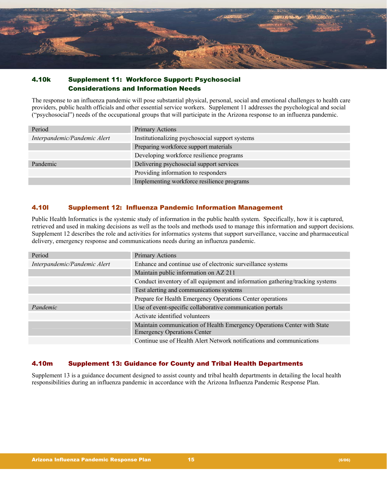

# 4.10k Supplement 11: Workforce Support: Psychosocial Considerations and Information Needs

The response to an influenza pandemic will pose substantial physical, personal, social and emotional challenges to health care providers, public health officials and other essential service workers. Supplement 11 addresses the psychological and social ("psychosocial") needs of the occupational groups that will participate in the Arizona response to an influenza pandemic.

| Period                       | Primary Actions                                 |  |
|------------------------------|-------------------------------------------------|--|
| Interpandemic/Pandemic Alert | Institutionalizing psychosocial support systems |  |
|                              | Preparing workforce support materials           |  |
|                              | Developing workforce resilience programs        |  |
| Pandemic                     | Delivering psychosocial support services        |  |
|                              | Providing information to responders             |  |
|                              | Implementing workforce resilience programs      |  |

# 4.10l Supplement 12: Influenza Pandemic Information Management

Public Health Informatics is the systemic study of information in the public health system. Specifically, how it is captured, retrieved and used in making decisions as well as the tools and methods used to manage this information and support decisions. Supplement 12 describes the role and activities for informatics systems that support surveillance, vaccine and pharmaceutical delivery, emergency response and communications needs during an influenza pandemic.

| Period                       | <b>Primary Actions</b>                                                        |  |  |
|------------------------------|-------------------------------------------------------------------------------|--|--|
| Interpandemic/Pandemic Alert | Enhance and continue use of electronic surveillance systems                   |  |  |
|                              | Maintain public information on AZ 211                                         |  |  |
|                              | Conduct inventory of all equipment and information gathering/tracking systems |  |  |
|                              | Test alerting and communications systems                                      |  |  |
|                              | Prepare for Health Emergency Operations Center operations                     |  |  |
| Pandemic                     | Use of event-specific collaborative communication portals                     |  |  |
|                              | Activate identified volunteers                                                |  |  |
|                              | Maintain communication of Health Emergency Operations Center with State       |  |  |
|                              | <b>Emergency Operations Center</b>                                            |  |  |
|                              | Continue use of Health Alert Network notifications and communications         |  |  |

# 4.10m Supplement 13: Guidance for County and Tribal Health Departments

Supplement 13 is a guidance document designed to assist county and tribal health departments in detailing the local health responsibilities during an influenza pandemic in accordance with the Arizona Influenza Pandemic Response Plan.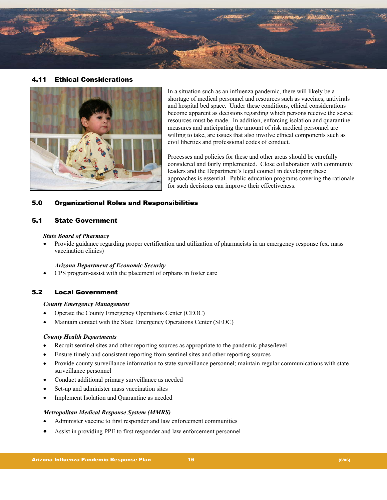

# 4.11 Ethical Considerations



In a situation such as an influenza pandemic, there will likely be a shortage of medical personnel and resources such as vaccines, antivirals and hospital bed space. Under these conditions, ethical considerations become apparent as decisions regarding which persons receive the scarce resources must be made. In addition, enforcing isolation and quarantine measures and anticipating the amount of risk medical personnel are willing to take, are issues that also involve ethical components such as civil liberties and professional codes of conduct.

Processes and policies for these and other areas should be carefully considered and fairly implemented. Close collaboration with community leaders and the Department's legal council in developing these approaches is essential. Public education programs covering the rationale for such decisions can improve their effectiveness.

# 5.0 Organizational Roles and Responsibilities

#### 5.1 State Government

#### *State Board of Pharmacy*

• Provide guidance regarding proper certification and utilization of pharmacists in an emergency response (ex. mass vaccination clinics)

#### *Arizona Department of Economic Security*

• CPS program-assist with the placement of orphans in foster care

#### 5.2 Local Government

#### *County Emergency Management*

- Operate the County Emergency Operations Center (CEOC)
- Maintain contact with the State Emergency Operations Center (SEOC)

#### *County Health Departments*

- Recruit sentinel sites and other reporting sources as appropriate to the pandemic phase/level
- Ensure timely and consistent reporting from sentinel sites and other reporting sources
- Provide county surveillance information to state surveillance personnel; maintain regular communications with state surveillance personnel
- Conduct additional primary surveillance as needed
- Set-up and administer mass vaccination sites
- Implement Isolation and Quarantine as needed

#### *Metropolitan Medical Response System (MMRS)*

- Administer vaccine to first responder and law enforcement communities
- Assist in providing PPE to first responder and law enforcement personnel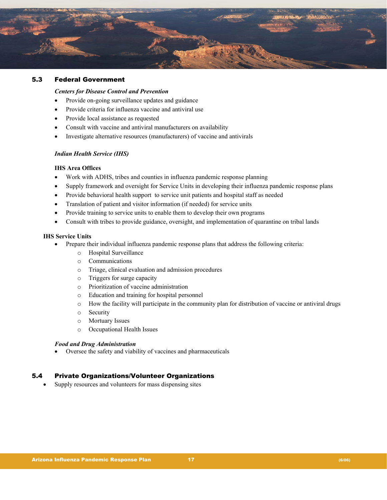

# 5.3 Federal Government

#### *Centers for Disease Control and Prevention*

- Provide on-going surveillance updates and guidance
- Provide criteria for influenza vaccine and antiviral use
- Provide local assistance as requested
- Consult with vaccine and antiviral manufacturers on availability
- Investigate alternative resources (manufacturers) of vaccine and antivirals

#### *Indian Health Service (IHS)*

#### **IHS Area Offices**

- Work with ADHS, tribes and counties in influenza pandemic response planning
- Supply framework and oversight for Service Units in developing their influenza pandemic response plans
- Provide behavioral health support to service unit patients and hospital staff as needed
- Translation of patient and visitor information (if needed) for service units
- Provide training to service units to enable them to develop their own programs
- Consult with tribes to provide guidance, oversight, and implementation of quarantine on tribal lands

#### **IHS Service Units**

- Prepare their individual influenza pandemic response plans that address the following criteria:
	- o Hospital Surveillance
	- o Communications
	- o Triage, clinical evaluation and admission procedures
	- o Triggers for surge capacity
	- o Prioritization of vaccine administration
	- o Education and training for hospital personnel
	- o How the facility will participate in the community plan for distribution of vaccine or antiviral drugs
	- o Security
	- o Mortuary Issues
	- o Occupational Health Issues

#### *Food and Drug Administration*

• Oversee the safety and viability of vaccines and pharmaceuticals

#### 5.4 Private Organizations/Volunteer Organizations

• Supply resources and volunteers for mass dispensing sites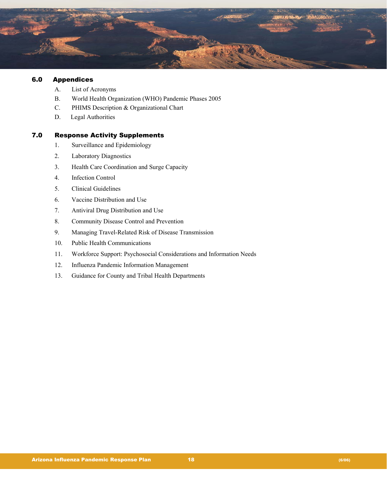

# 6.0 Appendices

- A. List of Acronyms
- B. World Health Organization (WHO) Pandemic Phases 2005
- C. PHIMS Description & Organizational Chart
- D. Legal Authorities

# 7.0 Response Activity Supplements

- 1. Surveillance and Epidemiology
- 2. Laboratory Diagnostics
- 3. Health Care Coordination and Surge Capacity
- 4. Infection Control
- 5. Clinical Guidelines
- 6. Vaccine Distribution and Use
- 7. Antiviral Drug Distribution and Use
- 8. Community Disease Control and Prevention
- 9. Managing Travel-Related Risk of Disease Transmission
- 10. Public Health Communications
- 11. Workforce Support: Psychosocial Considerations and Information Needs
- 12. Influenza Pandemic Information Management
- 13. Guidance for County and Tribal Health Departments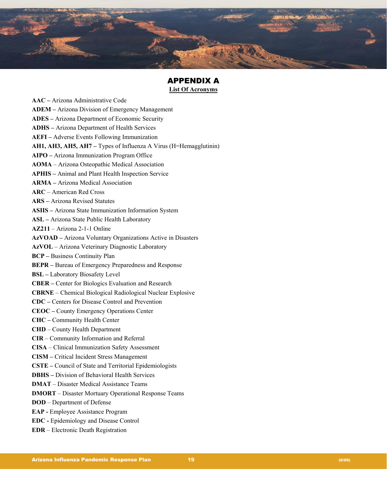

# APPENDIX A **List Of Acronyms**

**AAC –** Arizona Administrative Code **ADEM –** Arizona Division of Emergency Management **ADES –** Arizona Department of Economic Security **ADHS –** Arizona Department of Health Services **AEFI –** Adverse Events Following Immunization **AH1, AH3, AH5, AH7 –** Types of Influenza A Virus (H=Hemagglutinin) **AIPO –** Arizona Immunization Program Office **AOMA** – Arizona Osteopathic Medical Association **APHIS –** Animal and Plant Health Inspection Service **ARMA –** Arizona Medical Association **ARC** – American Red Cross **ARS –** Arizona Revised Statutes **ASIIS –** Arizona State Immunization Information System **ASL –** Arizona State Public Health Laboratory **AZ211** – Arizona 2-1-1 Online **AzVOAD –** Arizona Voluntary Organizations Active in Disasters **AzVOL** – Arizona Veterinary Diagnostic Laboratory **BCP –** Business Continuity Plan **BEPR –** Bureau of Emergency Preparedness and Response **BSL –** Laboratory Biosafety Level **CBER –** Center for Biologics Evaluation and Research **CBRNE** – Chemical Biological Radiological Nuclear Explosive **CDC –** Centers for Disease Control and Prevention **CEOC –** County Emergency Operations Center **CHC –** Community Health Center **CHD** – County Health Department **CIR** – Community Information and Referral **CISA** – Clinical Immunization Safety Assessment **CISM –** Critical Incident Stress Management **CSTE –** Council of State and Territorial Epidemiologists **DBHS –** Division of Behavioral Health Services **DMAT** – Disaster Medical Assistance Teams **DMORT** – Disaster Mortuary Operational Response Teams **DOD** – Department of Defense **EAP** - Employee Assistance Program **EDC -** Epidemiology and Disease Control **EDR** – Electronic Death Registration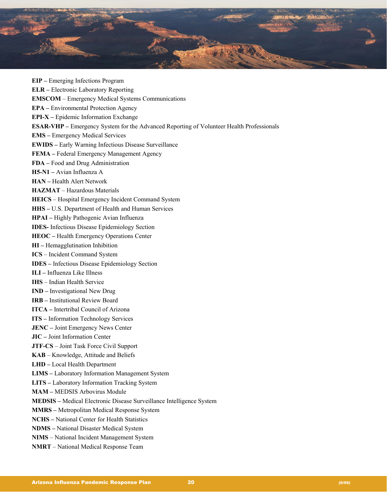

**EIP –** Emerging Infections Program **ELR –** Electronic Laboratory Reporting **EMSCOM** – Emergency Medical Systems Communications **EPA –** Environmental Protection Agency **EPI-X –** Epidemic Information Exchange **ESAR-VHP –** Emergency System for the Advanced Reporting of Volunteer Health Professionals **EMS –** Emergency Medical Services **EWIDS –** Early Warning Infectious Disease Surveillance **FEMA –** Federal Emergency Management Agency **FDA –** Food and Drug Administration **H5-N1 –** Avian Influenza A **HAN –** Health Alert Network **HAZMAT** – Hazardous Materials **HEICS** – Hospital Emergency Incident Command System **HHS –** U.S. Department of Health and Human Services **HPAI –** Highly Pathogenic Avian Influenza **IDES-** Infectious Disease Epidemiology Section **HEOC –** Health Emergency Operations Center **HI –** Hemagglutination Inhibition **ICS** – Incident Command System **IDES –** Infectious Disease Epidemiology Section **ILI –** Influenza Like Illness **IHS** – Indian Health Service **IND –** Investigational New Drug **IRB –** Institutional Review Board **ITCA –** Intertribal Council of Arizona **ITS –** Information Technology Services **JENC –** Joint Emergency News Center **JIC –** Joint Information Center **JTF-CS** – Joint Task Force Civil Support **KAB** – Knowledge, Attitude and Beliefs **LHD –** Local Health Department **LIMS –** Laboratory Information Management System **LITS –** Laboratory Information Tracking System **MAM –** MEDSIS Arbovirus Module **MEDSIS –** Medical Electronic Disease Surveillance Intelligence System **MMRS –** Metropolitan Medical Response System **NCHS –** National Center for Health Statistics **NDMS –** National Disaster Medical System **NIMS** – National Incident Management System **NMRT** – National Medical Response Team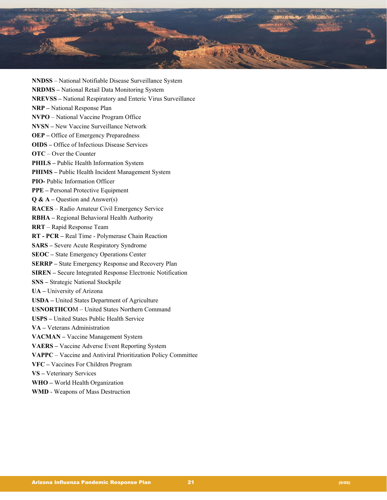

**NNDSS** – National Notifiable Disease Surveillance System **NRDMS –** National Retail Data Monitoring System **NREVSS –** National Respiratory and Enteric Virus Surveillance **NRP –** National Response Plan **NVPO** – National Vaccine Program Office **NVSN –** New Vaccine Surveillance Network **OEP –** Office of Emergency Preparedness **OIDS –** Office of Infectious Disease Services **OTC** – Over the Counter **PHILS –** Public Health Information System **PHIMS** – Public Health Incident Management System **PIO-** Public Information Officer **PPE –** Personal Protective Equipment **Q & A** – Question and Answer(s) **RACES** – Radio Amateur Civil Emergency Service **RBHA –** Regional Behavioral Health Authority **RRT** – Rapid Response Team **RT - PCR –** Real Time - Polymerase Chain Reaction **SARS –** Severe Acute Respiratory Syndrome **SEOC –** State Emergency Operations Center **SERRP –** State Emergency Response and Recovery Plan **SIREN –** Secure Integrated Response Electronic Notification **SNS –** Strategic National Stockpile **UA –** University of Arizona **USDA –** United States Department of Agriculture **USNORTHCO**M – United States Northern Command **USPS –** United States Public Health Service **VA –** Veterans Administration **VACMAN –** Vaccine Management System **VAERS –** Vaccine Adverse Event Reporting System **VAPPC** – Vaccine and Antiviral Prioritization Policy Committee **VFC –** Vaccines For Children Program **VS –** Veterinary Services **WHO –** World Health Organization **WMD** - Weapons of Mass Destruction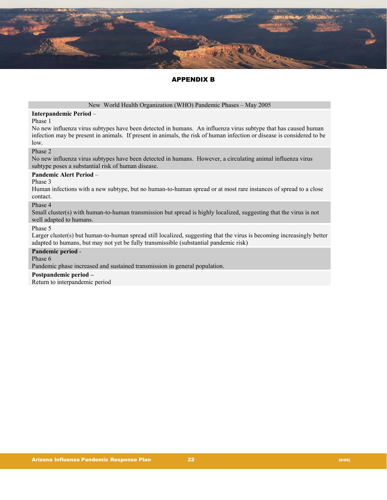

# APPENDIX B

#### New World Health Organization (WHO) Pandemic Phases – May 2005

#### **Interpandemic Period** –

#### Phase 1

No new influenza virus subtypes have been detected in humans. An influenza virus subtype that has caused human infection may be present in animals. If present in animals, the risk of human infection or disease is considered to be low.

#### Phase 2

No new influenza virus subtypes have been detected in humans. However, a circulating animal influenza virus subtype poses a substantial risk of human disease.

#### **Pandemic Alert Period** –

Phase 3

Human infections with a new subtype, but no human-to-human spread or at most rare instances of spread to a close contact.

#### Phase 4

Small cluster(s) with human-to-human transmission but spread is highly localized, suggesting that the virus is not well adapted to humans.

#### Phase 5

Larger cluster(s) but human-to-human spread still localized, suggesting that the virus is becoming increasingly better adapted to humans, but may not yet be fully transmissible (substantial pandemic risk)

#### **Pandemic period** -

Phase 6

Pandemic phase increased and sustained transmission in general population.

#### **Postpandemic period –**

Return to interpandemic period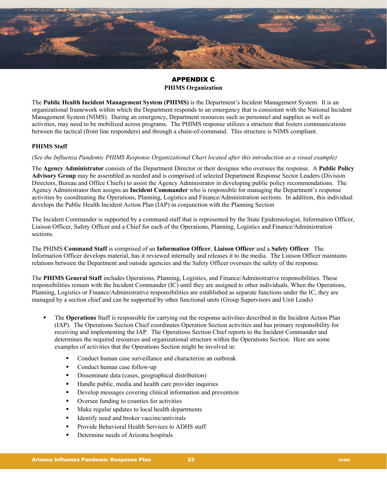

# APPENDIX C **PHIMS Organization**

The **Public Health Incident Management System (PHIMS)** is the Department's Incident Management System. It is an organizational framework within which the Department responds to an emergency that is consistent with the National Incident Management System (NIMS). During an emergency, Department resources such as personnel and supplies as well as activities, may need to be mobilized across programs. The PHIMS response utilizes a structure that fosters communications between the tactical (front line responders) and through a chain-of-command. This structure is NIMS compliant.

## **PHIMS Staff**

*(See the Influenza Pandemic PHIMS Response Organizational Chart located after this introduction as a visual example)*

The **Agency Administrator** consists of the Department Director or their designee who oversees the response. A **Public Policy Advisory Group** may be assembled as needed and is comprised of selected Department Response Sector Leaders (Division Directors, Bureau and Office Chiefs) to assist the Agency Administrator in developing public policy recommendations. The Agency Administrator then assigns an **Incident Commander** who is responsible for managing the Department's response activities by coordinating the Operations, Planning, Logistics and Finance/Administration sections. In addition, this individual develops the Public Health Incident Action Plan (IAP) in conjunction with the Planning Section

The Incident Commander is supported by a command staff that is represented by the State Epidemiologist, Information Officer, Liaison Officer, Safety Officer and a Chief for each of the Operations, Planning, Logistics and Finance/Administration sections.

The PHIMS **Command Staff** is comprised of an **Information Officer**, **Liaison Officer** and a **Safety Officer**. The Information Officer develops material, has it reviewed internally and releases it to the media. The Liaison Officer maintains relations between the Department and outside agencies and the Safety Officer oversees the safety of the response.

The **PHIMS General Staff** includes Operations, Planning, Logistics, and Finance/Administrative responsibilities. These responsibilities remain with the Incident Commander (IC) until they are assigned to other individuals. When the Operations, Planning, Logistics or Finance/Administrative responsibilities are established as separate functions under the IC, they are managed by a section chief and can be supported by other functional units (Group Supervisors and Unit Leads)

- The **Operations** Staff is responsible for carrying out the response activities described in the Incident Action Plan (IAP). The Operations Section Chief coordinates Operation Section activities and has primary responsibility for receiving and implementing the IAP. The Operations Section Chief reports to the Incident Commander and determines the required resources and organizational structure within the Operations Section. Here are some examples of activities that the Operations Section might be involved in:
	- Conduct human case surveillance and characterize an outbreak
	- Conduct human case follow-up
	- Disseminate data (cases, geographical distribution)
	- Handle public, media and health care provider inquiries
	- Develop messages covering clinical information and prevention
	- Oversee funding to counties for activities
	- Make regular updates to local health departments
	- $\blacksquare$  Identify need and broker vaccine/antivirals
	- Provide Behavioral Health Services to ADHS staff
	- Determine needs of Arizona hospitals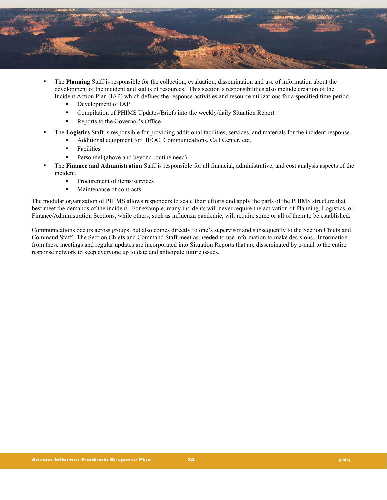

- The **Planning** Staff is responsible for the collection, evaluation, dissemination and use of information about the development of the incident and status of resources. This section's responsibilities also include creation of the Incident Action Plan (IAP) which defines the response activities and resource utilizations for a specified time period.
	- Development of IAP
	- Compilation of PHIMS Updates/Briefs into the weekly/daily Situation Report
	- Reports to the Governor's Office
- The **Logistics** Staff is responsible for providing additional facilities, services, and materials for the incident response.
	- Additional equipment for HEOC, Communications, Call Center, etc.
	- **Facilities**
	- Personnel (above and beyond routine need)
- The **Finance and Administration** Staff is responsible for all financial, administrative, and cost analysis aspects of the incident.
	- **Procurement of items/services**
	- Maintenance of contracts

The modular organization of PHIMS allows responders to scale their efforts and apply the parts of the PHIMS structure that best meet the demands of the incident. For example, many incidents will never require the activation of Planning, Logistics, or Finance/Administration Sections, while others, such as influenza pandemic, will require some or all of them to be established.

Communications occurs across groups, but also comes directly to one's supervisor and subsequently to the Section Chiefs and Command Staff. The Section Chiefs and Command Staff meet as needed to use information to make decisions. Information from these meetings and regular updates are incorporated into Situation Reports that are disseminated by e-mail to the entire response network to keep everyone up to date and anticipate future issues.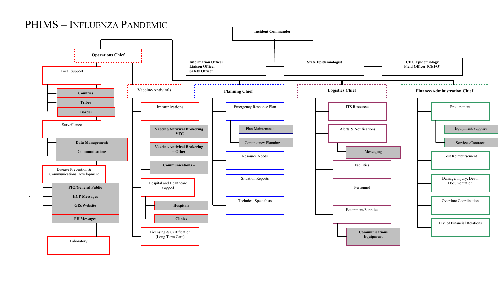# PHIMS – INFLUENZA PANDEMIC

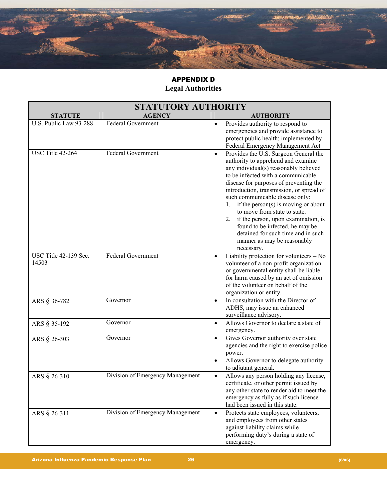

# APPENDIX D **Legal Authorities**

| STATUTORY AUTHORITY            |                                  |                |                                                                                                                                                                                                                                                                                                                                                                                                                                                                                                                                        |  |
|--------------------------------|----------------------------------|----------------|----------------------------------------------------------------------------------------------------------------------------------------------------------------------------------------------------------------------------------------------------------------------------------------------------------------------------------------------------------------------------------------------------------------------------------------------------------------------------------------------------------------------------------------|--|
| <b>STATUTE</b>                 | <b>AGENCY</b>                    |                | <b>AUTHORITY</b>                                                                                                                                                                                                                                                                                                                                                                                                                                                                                                                       |  |
| U.S. Public Law 93-288         | <b>Federal Government</b>        | $\bullet$      | Provides authority to respond to<br>emergencies and provide assistance to<br>protect public health; implemented by<br>Federal Emergency Management Act                                                                                                                                                                                                                                                                                                                                                                                 |  |
| USC Title 42-264               | <b>Federal Government</b>        | $\bullet$      | Provides the U.S. Surgeon General the<br>authority to apprehend and examine<br>any individual(s) reasonably believed<br>to be infected with a communicable<br>disease for purposes of preventing the<br>introduction, transmission, or spread of<br>such communicable disease only:<br>if the person $(s)$ is moving or about<br>1.<br>to move from state to state.<br>if the person, upon examination, is<br>2.<br>found to be infected, he may be<br>detained for such time and in such<br>manner as may be reasonably<br>necessary. |  |
| USC Title 42-139 Sec.<br>14503 | <b>Federal Government</b>        | $\bullet$      | Liability protection for volunteers - No<br>volunteer of a non-profit organization<br>or governmental entity shall be liable<br>for harm caused by an act of omission<br>of the volunteer on behalf of the<br>organization or entity.                                                                                                                                                                                                                                                                                                  |  |
| ARS § 36-782                   | Governor                         | $\bullet$      | In consultation with the Director of<br>ADHS, may issue an enhanced<br>surveillance advisory.                                                                                                                                                                                                                                                                                                                                                                                                                                          |  |
| ARS § 35-192                   | Governor                         | $\bullet$      | Allows Governor to declare a state of<br>emergency.                                                                                                                                                                                                                                                                                                                                                                                                                                                                                    |  |
| ARS § 26-303                   | Governor                         | $\bullet$<br>٠ | Gives Governor authority over state<br>agencies and the right to exercise police<br>power.<br>Allows Governor to delegate authority<br>to adjutant general.                                                                                                                                                                                                                                                                                                                                                                            |  |
| ARS § 26-310                   | Division of Emergency Management | $\bullet$      | Allows any person holding any license,<br>certificate, or other permit issued by<br>any other state to render aid to meet the<br>emergency as fully as if such license<br>had been issued in this state.                                                                                                                                                                                                                                                                                                                               |  |
| ARS § 26-311                   | Division of Emergency Management | $\bullet$      | Protects state employees, volunteers,<br>and employees from other states<br>against liability claims while<br>performing duty's during a state of<br>emergency.                                                                                                                                                                                                                                                                                                                                                                        |  |